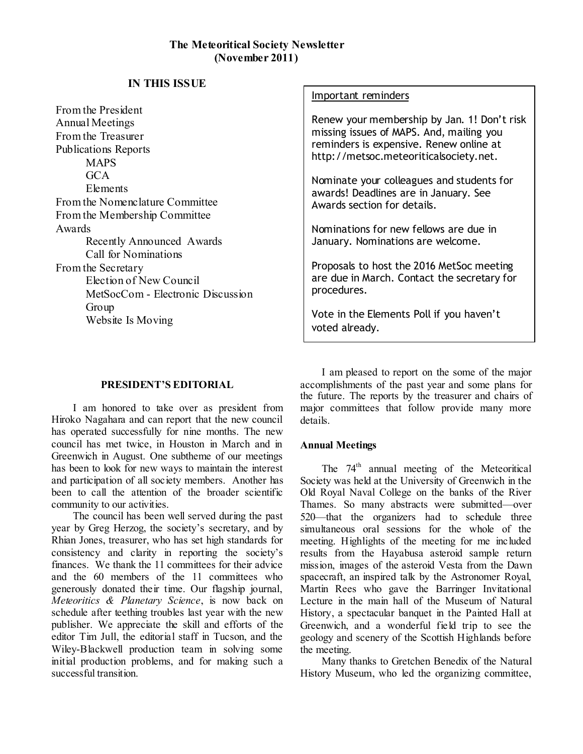# **IN THIS ISSUE**

From the President Annual Meetings From the Treasurer Publications Reports **MAPS** GCA Elements From the Nomenclature Committee From the Membership Committee Awards Recently Announced Awards Call for Nominations From the Secretary Election of New Council MetSocCom - Electronic Discussion Group Website Is Moving

# Important reminders

Renew your membership by Jan. 1! Don't risk missing issues of MAPS. And, mailing you reminders is expensive. Renew online at http://metsoc.meteoriticalsociety.net.

Nominate your colleagues and students for awards! Deadlines are in January. See Awards section for details.

Nominations for new fellows are due in January. Nominations are welcome.

Proposals to host the 2016 MetSoc meeting are due in March. Contact the secretary for procedures.

Vote in the Elements Poll if you haven't voted already.

## **PRESIDENT'S EDITORIAL**

I am honored to take over as president from Hiroko Nagahara and can report that the new council has operated successfully for nine months. The new council has met twice, in Houston in March and in Greenwich in August. One subtheme of our meetings has been to look for new ways to maintain the interest and participation of all society members. Another has been to call the attention of the broader scientific community to our activities.

The council has been well served during the past year by Greg Herzog, the society's secretary, and by Rhian Jones, treasurer, who has set high standards for consistency and clarity in reporting the society's finances. We thank the 11 committees for their advice and the 60 members of the 11 committees who generously donated their time. Our flagship journal, *Meteoritics & Planetary Science*, is now back on schedule after teething troubles last year with the new publisher. We appreciate the skill and efforts of the editor Tim Jull, the editorial staff in Tucson, and the Wiley-Blackwell production team in solving some initial production problems, and for making such a successful transition.

I am pleased to report on the some of the major accomplishments of the past year and some plans for the future. The reports by the treasurer and chairs of major committees that follow provide many more details.

## **Annual Meetings**

The  $74<sup>th</sup>$  annual meeting of the Meteoritical Society was held at the University of Greenwich in the Old Royal Naval College on the banks of the River Thames. So many abstracts were submitted—over 520—that the organizers had to schedule three simultaneous oral sessions for the whole of the meeting. Highlights of the meeting for me included results from the Hayabusa asteroid sample return mission, images of the asteroid Vesta from the Dawn spacecraft, an inspired talk by the Astronomer Royal, Martin Rees who gave the Barringer Invitational Lecture in the main hall of the Museum of Natural History, a spectacular banquet in the Painted Hall at Greenwich, and a wonderful field trip to see the geology and scenery of the Scottish Highlands before the meeting.

Many thanks to Gretchen Benedix of the Natural History Museum, who led the organizing committee,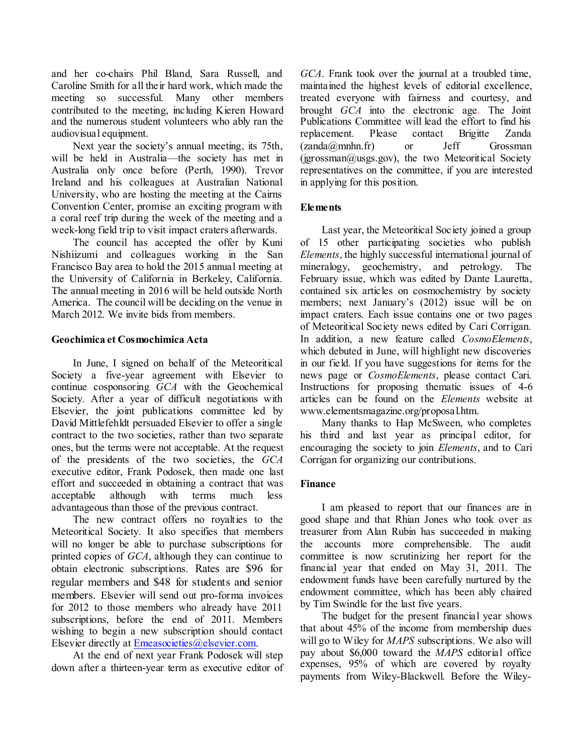and her co-chairs Phil Bland, Sara Russell, and Caroline Smith for all their hard work, which made the meeting so successful. Many other members contributed to the meeting, including Kieren Howard and the numerous student volunteers who ably ran the audiovisual equipment.

Next year the society's annual meeting, its 75th, will be held in Australia—the society has met in Australia only once before (Perth, 1990). Trevor Ireland and his colleagues at Australian National University, who are hosting the meeting at the Cairns Convention Center, promise an exciting program with a coral reef trip during the week of the meeting and a week-long field trip to visit impact craters afterwards.

The council has accepted the offer by Kuni Nishiizumi and colleagues working in the San Francisco Bay area to hold the 2015 annual meeting at the University of California in Berkeley, California. The annual meeting in 2016 will be held outside North America. The council will be deciding on the venue in March 2012. We invite bids from members.

### **Geochimica et Cosmochimica Acta**

In June, I signed on behalf of the Meteoritical Society a five-year agreement with Elsevier to continue cosponsoring *GCA* with the Geochemical Society. After a year of difficult negotiations with Elsevier, the joint publications committee led by David Mittlefehldt persuaded Elsevier to offer a single contract to the two societies, rather than two separate ones, but the terms were not acceptable. At the request of the presidents of the two societies, the *GCA*  executive editor, Frank Podosek, then made one last effort and succeeded in obtaining a contract that was acceptable although with terms much less advantageous than those of the previous contract.

The new contract offers no royalties to the Meteoritical Society. It also specifies that members will no longer be able to purchase subscriptions for printed copies of *GCA*, although they can continue to obtain electronic subscriptions. Rates are \$96 for regular members and \$48 for students and senior members. Elsevier will send out pro-forma invoices for 2012 to those members who already have 2011 subscriptions, before the end of 2011. Members wishing to begin a new subscription should contact Elsevier directly at [Emeasocieties@elsevier.com.](mailto:Emeasocieties@elsevier.com)

At the end of next year Frank Podosek will step down after a thirteen-year term as executive editor of

*GCA*. Frank took over the journal at a troubled time, maintained the highest levels of editorial excellence, treated everyone with fairness and courtesy, and brought *GCA* into the electronic age*.* The Joint Publications Committee will lead the effort to find his replacement. Please contact Brigitte Zanda (zanda@mnhn.fr) or Jeff Grossman  $(jgrossman@usgs.gov)$ , the two Meteoritical Society representatives on the committee, if you are interested in applying for this position.

## **Elements**

Last year, the Meteoritical Society joined a group of 15 other participating societies who publish *Elements*, the highly successful international journal of mineralogy, geochemistry, and petrology. The February issue, which was edited by Dante Lauretta, contained six articles on cosmochemistry by society members; next January's (2012) issue will be on impact craters. Each issue contains one or two pages of Meteoritical Society news edited by Cari Corrigan. In addition, a new feature called *CosmoElements*, which debuted in June, will highlight new discoveries in our field. If you have suggestions for items for the news page or *CosmoElements*, please contact Cari. Instructions for proposing thematic issues of 4-6 articles can be found on the *Elements* website at www.elementsmagazine.org/proposal.htm.

Many thanks to Hap McSween, who completes his third and last year as principal editor, for encouraging the society to join *Elements*, and to Cari Corrigan for organizing our contributions.

## **Finance**

I am pleased to report that our finances are in good shape and that Rhian Jones who took over as treasurer from Alan Rubin has succeeded in making the accounts more comprehensible. The audit committee is now scrutinizing her report for the financial year that ended on May 31, 2011. The endowment funds have been carefully nurtured by the endowment committee, which has been ably chaired by Tim Swindle for the last five years.

The budget for the present financial year shows that about 45% of the income from membership dues will go to Wiley for *MAPS* subscriptions. We also will pay about \$6,000 toward the *MAPS* editorial office expenses, 95% of which are covered by royalty payments from Wiley-Blackwell. Before the Wiley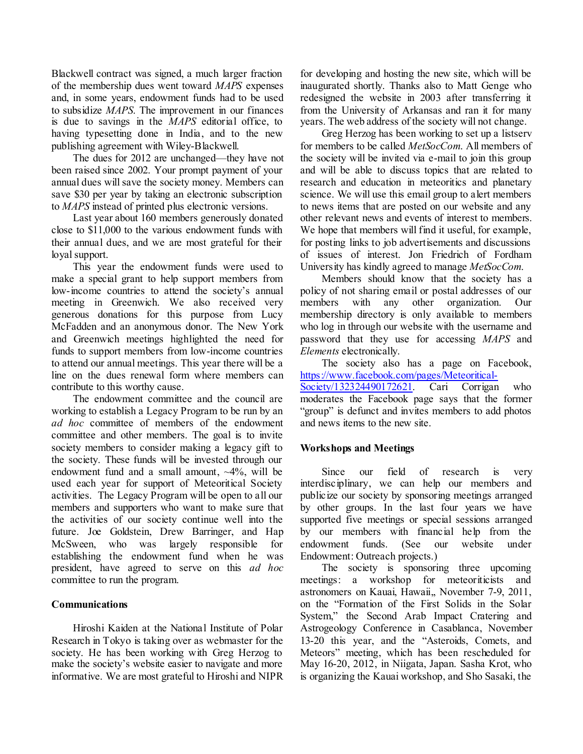Blackwell contract was signed, a much larger fraction of the membership dues went toward *MAPS* expenses and, in some years, endowment funds had to be used to subsidize *MAPS*. The improvement in our finances is due to savings in the *MAPS* editorial office, to having typesetting done in India, and to the new publishing agreement with Wiley-Blackwell.

The dues for 2012 are unchanged—they have not been raised since 2002. Your prompt payment of your annual dues will save the society money. Members can save \$30 per year by taking an electronic subscription to *MAPS* instead of printed plus electronic versions.

Last year about 160 members generously donated close to \$11,000 to the various endowment funds with their annual dues, and we are most grateful for their loyal support.

This year the endowment funds were used to make a special grant to help support members from low-income countries to attend the society's annual meeting in Greenwich. We also received very generous donations for this purpose from Lucy McFadden and an anonymous donor. The New York and Greenwich meetings highlighted the need for funds to support members from low-income countries to attend our annual meetings. This year there will be a line on the dues renewal form where members can contribute to this worthy cause.

The endowment committee and the council are working to establish a Legacy Program to be run by an *ad hoc* committee of members of the endowment committee and other members. The goal is to invite society members to consider making a legacy gift to the society. These funds will be invested through our endowment fund and a small amount,  $\sim$ 4%, will be used each year for support of Meteoritical Society activities. The Legacy Program will be open to all our members and supporters who want to make sure that the activities of our society continue well into the future. Joe Goldstein, Drew Barringer, and Hap McSween, who was largely responsible for establishing the endowment fund when he was president, have agreed to serve on this *ad hoc* committee to run the program.

## **Communications**

Hiroshi Kaiden at the National Institute of Polar Research in Tokyo is taking over as webmaster for the society. He has been working with Greg Herzog to make the society's website easier to navigate and more informative. We are most grateful to Hiroshi and NIPR

for developing and hosting the new site, which will be inaugurated shortly. Thanks also to Matt Genge who redesigned the website in 2003 after transferring it from the University of Arkansas and ran it for many years. The web address of the society will not change.

Greg Herzog has been working to set up a listserv for members to be called *MetSocCom*. All members of the society will be invited via e-mail to join this group and will be able to discuss topics that are related to research and education in meteoritics and planetary science. We will use this email group to alert members to news items that are posted on our website and any other relevant news and events of interest to members. We hope that members will find it useful, for example, for posting links to job advertisements and discussions of issues of interest. Jon Friedrich of Fordham University has kindly agreed to manage *MetSocCom*.

Members should know that the society has a policy of not sharing email or postal addresses of our members with any other organization. Our membership directory is only available to members who log in through our website with the username and password that they use for accessing *MAPS* and *Elements* electronically.

The society also has a page on Facebook, [https://www.facebook.com/pages/Meteoritical-](https://www.facebook.com/pages/Meteoritical-Society/132324490172621)

[Society/132324490172621.](https://www.facebook.com/pages/Meteoritical-Society/132324490172621) Cari Corrigan who moderates the Facebook page says that the former "group" is defunct and invites members to add photos and news items to the new site.

# **Workshops and Meetings**

Since our field of research is very interdisciplinary, we can help our members and publicize our society by sponsoring meetings arranged by other groups. In the last four years we have supported five meetings or special sessions arranged by our members with financial help from the endowment funds. (See our website under Endowment: Outreach projects.)

The society is sponsoring three upcoming meetings: a workshop for meteoriticists and astronomers on Kauai, Hawaii,, November 7-9, 2011, on the "Formation of the First Solids in the Solar System," the Second Arab Impact Cratering and Astrogeology Conference in Casablanca, November 13-20 this year, and the "Asteroids, Comets, and Meteors" meeting, which has been rescheduled for May 16-20, 2012, in Niigata, Japan. Sasha Krot, who is organizing the Kauai workshop, and Sho Sasaki, the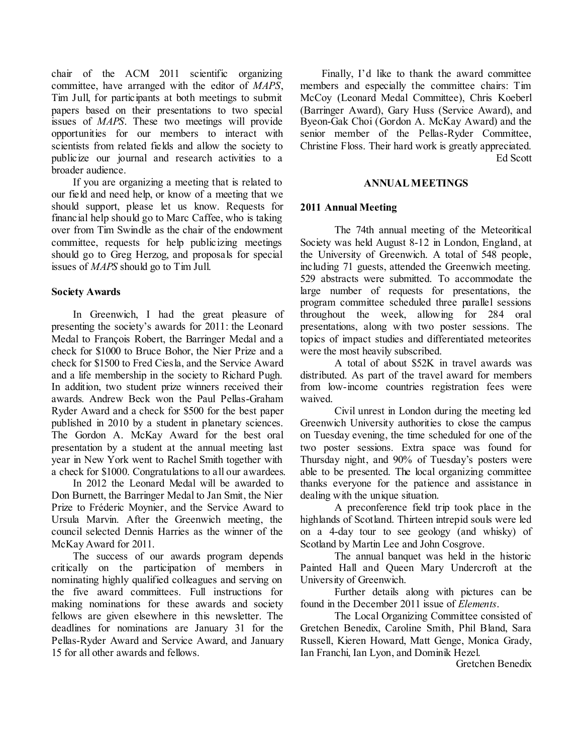chair of the ACM 2011 scientific organizing committee, have arranged with the editor of *MAPS*, Tim Jull, for participants at both meetings to submit papers based on their presentations to two special issues of *MAPS*. These two meetings will provide opportunities for our members to interact with scientists from related fields and allow the society to publicize our journal and research activities to a broader audience.

If you are organizing a meeting that is related to our field and need help, or know of a meeting that we should support, please let us know. Requests for financial help should go to Marc Caffee, who is taking over from Tim Swindle as the chair of the endowment committee, requests for help publicizing meetings should go to Greg Herzog, and proposals for special issues of *MAPS* should go to Tim Jull.

### **Society Awards**

In Greenwich, I had the great pleasure of presenting the society's awards for 2011: the Leonard Medal to François Robert, the Barringer Medal and a check for \$1000 to Bruce Bohor, the Nier Prize and a check for \$1500 to Fred Ciesla, and the Service Award and a life membership in the society to Richard Pugh. In addition, two student prize winners received their awards. Andrew Beck won the Paul Pellas-Graham Ryder Award and a check for \$500 for the best paper published in 2010 by a student in planetary sciences. The Gordon A. McKay Award for the best oral presentation by a student at the annual meeting last year in New York went to Rachel Smith together with a check for \$1000. Congratulations to all our awardees.

In 2012 the Leonard Medal will be awarded to Don Burnett, the Barringer Medal to Jan Smit, the Nier Prize to Fréderic Moynier, and the Service Award to Ursula Marvin. After the Greenwich meeting, the council selected Dennis Harries as the winner of the McKay Award for 2011.

The success of our awards program depends critically on the participation of members in nominating highly qualified colleagues and serving on the five award committees. Full instructions for making nominations for these awards and society fellows are given elsewhere in this newsletter. The deadlines for nominations are January 31 for the Pellas-Ryder Award and Service Award, and January 15 for all other awards and fellows.

Finally, I'd like to thank the award committee members and especially the committee chairs: Tim McCoy (Leonard Medal Committee), Chris Koeberl (Barringer Award), Gary Huss (Service Award), and Byeon-Gak Choi (Gordon A. McKay Award) and the senior member of the Pellas-Ryder Committee, Christine Floss. Their hard work is greatly appreciated. Ed Scott

#### **ANNUAL MEETINGS**

## **2011 Annual Meeting**

The 74th annual meeting of the Meteoritical Society was held August 8-12 in London, England, at the University of Greenwich. A total of 548 people, including 71 guests, attended the Greenwich meeting. 529 abstracts were submitted. To accommodate the large number of requests for presentations, the program committee scheduled three parallel sessions throughout the week, allowing for 284 oral presentations, along with two poster sessions. The topics of impact studies and differentiated meteorites were the most heavily subscribed.

A total of about \$52K in travel awards was distributed. As part of the travel award for members from low-income countries registration fees were waived.

Civil unrest in London during the meeting led Greenwich University authorities to close the campus on Tuesday evening, the time scheduled for one of the two poster sessions. Extra space was found for Thursday night, and 90% of Tuesday's posters were able to be presented. The local organizing committee thanks everyone for the patience and assistance in dealing with the unique situation.

A preconference field trip took place in the highlands of Scotland. Thirteen intrepid souls were led on a 4-day tour to see geology (and whisky) of Scotland by Martin Lee and John Cosgrove.

The annual banquet was held in the historic Painted Hall and Queen Mary Undercroft at the University of Greenwich.

Further details along with pictures can be found in the December 2011 issue of *Elements*.

The Local Organizing Committee consisted of Gretchen Benedix, Caroline Smith, Phil Bland, Sara Russell, Kieren Howard, Matt Genge, Monica Grady, Ian Franchi, Ian Lyon, and Dominik Hezel.

Gretchen Benedix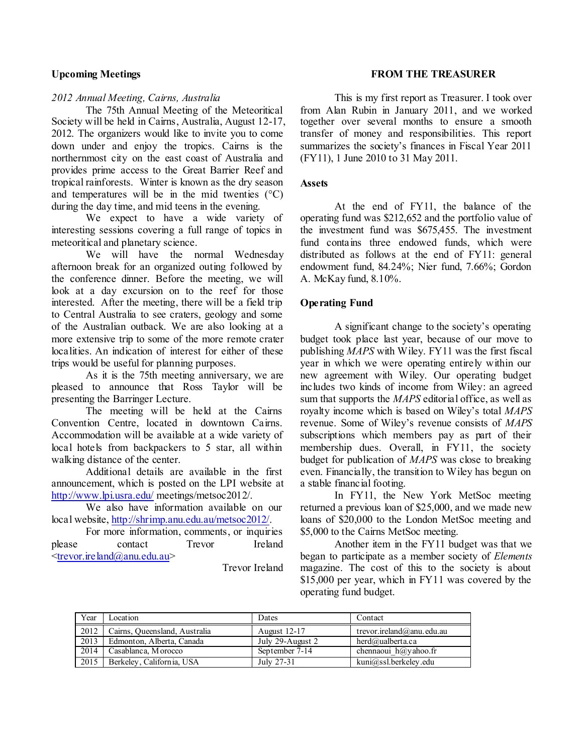#### **Upcoming Meetings**

#### *2012 Annual Meeting, Cairns, Australia*

The 75th Annual Meeting of the Meteoritical Society will be held in Cairns, Australia, August 12-17, 2012. The organizers would like to invite you to come down under and enjoy the tropics. Cairns is the northernmost city on the east coast of Australia and provides prime access to the Great Barrier Reef and tropical rainforests. Winter is known as the dry season and temperatures will be in the mid twenties  $(^{\circ}C)$ during the day time, and mid teens in the evening.

We expect to have a wide variety of interesting sessions covering a full range of topics in meteoritical and planetary science.

We will have the normal Wednesday afternoon break for an organized outing followed by the conference dinner. Before the meeting, we will look at a day excursion on to the reef for those interested. After the meeting, there will be a field trip to Central Australia to see craters, geology and some of the Australian outback. We are also looking at a more extensive trip to some of the more remote crater localities. An indication of interest for either of these trips would be useful for planning purposes.

As it is the 75th meeting anniversary, we are pleased to announce that Ross Taylor will be presenting the Barringer Lecture.

The meeting will be held at the Cairns Convention Centre, located in downtown Cairns. Accommodation will be available at a wide variety of local hotels from backpackers to 5 star, all within walking distance of the center.

Additional details are available in the first announcement, which is posted on the LPI website at <http://www.lpi.usra.edu/> meetings/metsoc2012/.

We also have information available on our local website, [http://shrimp.anu.edu.au/metsoc2012/.](http://shrimp.anu.edu.au/metsoc2012/)

For more information, comments, or inquiries please contact Trevor Ireland [<trevor.ireland@anu.edu.au>](mailto:trevor.ireland@anu.edu.au)

Trevor Ireland

### **FROM THE TREASURER**

This is my first report as Treasurer. I took over from Alan Rubin in January 2011, and we worked together over several months to ensure a smooth transfer of money and responsibilities. This report summarizes the society's finances in Fiscal Year 2011 (FY11), 1 June 2010 to 31 May 2011.

#### **Assets**

At the end of FY11, the balance of the operating fund was \$212,652 and the portfolio value of the investment fund was \$675,455. The investment fund contains three endowed funds, which were distributed as follows at the end of FY11: general endowment fund, 84.24%; Nier fund, 7.66%; Gordon A. McKay fund, 8.10%.

### **Operating Fund**

A significant change to the society's operating budget took place last year, because of our move to publishing *MAPS* with Wiley. FY11 was the first fiscal year in which we were operating entirely within our new agreement with Wiley. Our operating budget includes two kinds of income from Wiley: an agreed sum that supports the *MAPS* editorial office, as well as royalty income which is based on Wiley's total *MAPS* revenue. Some of Wiley's revenue consists of *MAPS* subscriptions which members pay as part of their membership dues. Overall, in FY11, the society budget for publication of *MAPS* was close to breaking even. Financially, the transition to Wiley has begun on a stable financial footing.

In FY11, the New York MetSoc meeting returned a previous loan of \$25,000, and we made new loans of \$20,000 to the London MetSoc meeting and \$5,000 to the Cairns MetSoc meeting.

Another item in the FY11 budget was that we began to participate as a member society of *Elements* magazine. The cost of this to the society is about \$15,000 per year, which in FY11 was covered by the operating fund budget.

| Year | Location                      | Dates               | Contact                          |
|------|-------------------------------|---------------------|----------------------------------|
| 2012 | Cairns, Queensland, Australia | <b>August 12-17</b> | trevor.ireland@anu.edu.au        |
| 2013 | Edmonton, Alberta, Canada     | July 29-August 2    | herd@ualberta.ca                 |
| 2014 | Casablanca, Morocco           | September 7-14      | chennaoui $h$ $\omega$ y ahoo.fr |
| 2015 | Berkeley, California, USA     | July 27-31          | kuni@ssl.berkeley.edu            |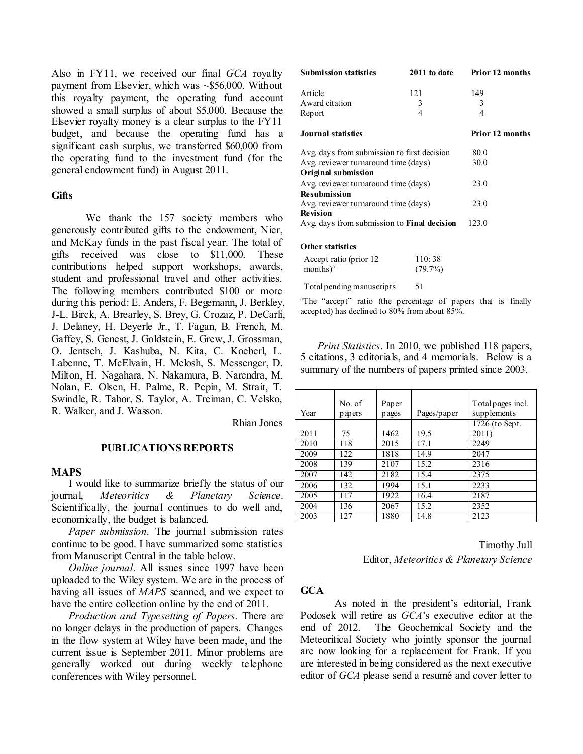Also in FY11, we received our final *GCA* royalty payment from Elsevier, which was  $\sim $56,000$ . Without this royalty payment, the operating fund account showed a small surplus of about \$5,000. Because the Elsevier royalty money is a clear surplus to the FY11 budget, and because the operating fund has a significant cash surplus, we transferred \$60,000 from the operating fund to the investment fund (for the general endowment fund) in August 2011.

#### **Gifts**

We thank the 157 society members who generously contributed gifts to the endowment, Nier, and McKay funds in the past fiscal year. The total of gifts received was close to \$11,000. These contributions helped support workshops, awards, student and professional travel and other activities. The following members contributed \$100 or more during this period: E. Anders, F. Begemann, J. Berkley, J-L. Birck, A. Brearley, S. Brey, G. Crozaz, P. DeCarli, J. Delaney, H. Deyerle Jr., T. Fagan, B. French, M. Gaffey, S. Genest, J. Goldstein, E. Grew, J. Grossman, O. Jentsch, J. Kashuba, N. Kita, C. Koeberl, L. Labenne, T. McElvain, H. Melosh, S. Messenger, D. Milton, H. Nagahara, N. Nakamura, B. Narendra, M. Nolan, E. Olsen, H. Palme, R. Pepin, M. Strait, T. Swindle, R. Tabor, S. Taylor, A. Treiman, C. Velsko, R. Walker, and J. Wasson.

Rhian Jones

#### **PUBLICATIONS REPORTS**

#### **MAPS**

I would like to summarize briefly the status of our journal, *Meteoritics & Planetary Science*. Scientifically, the journal continues to do well and, economically, the budget is balanced.

*Paper submission*. The journal submission rates continue to be good. I have summarized some statistics from Manuscript Central in the table below.

*Online journal*. All issues since 1997 have been uploaded to the Wiley system. We are in the process of having all issues of *MAPS* scanned, and we expect to have the entire collection online by the end of 2011.

*Production and Typesetting of Papers*. There are no longer delays in the production of papers. Changes in the flow system at Wiley have been made, and the current issue is September 2011. Minor problems are generally worked out during weekly telephone conferences with Wiley personnel.

| <b>Submission statistics</b>                       | 2011 to date    | <b>Prior 12 months</b> |  |
|----------------------------------------------------|-----------------|------------------------|--|
| Article                                            | 121             | 149                    |  |
| Award citation                                     | 3               | 3                      |  |
| Report                                             | 4               | 4                      |  |
| Journal statistics                                 | Prior 12 months |                        |  |
| Avg. days from submission to first decision        | 80.0            |                        |  |
| Avg. reviewer turnaround time (days)               | 30.0            |                        |  |
| Original submission                                |                 |                        |  |
| Avg. reviewer turnaround time (days)               | 23.0            |                        |  |
| <b>Resubmission</b>                                |                 |                        |  |
| Avg. reviewer turnaround time (days)               | 23.0            |                        |  |
| <b>Revision</b>                                    |                 |                        |  |
| Avg. days from submission to <b>Final decision</b> | 123.0           |                        |  |
| Other statistics                                   |                 |                        |  |

| Accept ratio (prior 12) | 110:38     |
|-------------------------|------------|
| months $)^a$            | $(79.7\%)$ |

Total pending manuscripts 51

<sup>a</sup>The "accept" ratio (the percentage of papers that is finally accepted) has declined to 80% from about 85%.

*Print Statistics*. In 2010, we published 118 papers, 5 citations, 3 editorials, and 4 memorials. Below is a summary of the numbers of papers printed since 2003.

| Year | No. of<br>papers | Paper<br>pages | Pages/paper | Total pages incl.<br>supplements |
|------|------------------|----------------|-------------|----------------------------------|
|      |                  |                |             | 1726 (to Sept.)                  |
| 2011 | 75               | 1462           | 19.5        | 2011)                            |
| 2010 | 118              | 2015           | 17.1        | 2249                             |
| 2009 | 122              | 1818           | 14.9        | 2047                             |
| 2008 | 139              | 2107           | 15.2        | 2316                             |
| 2007 | 142              | 2182           | 15.4        | 2375                             |
| 2006 | 132              | 1994           | 15.1        | 2233                             |
| 2005 | 117              | 1922           | 16.4        | 2187                             |
| 2004 | 136              | 2067           | 15.2        | 2352                             |
| 2003 | 127              | 1880           | 14.8        | 2123                             |

Timothy Jull Editor, *Meteoritics & Planetary Science*

#### **GCA**

As noted in the president's editorial, Frank Podosek will retire as *GCA*'s executive editor at the end of 2012. The Geochemical Society and the Meteoritical Society who jointly sponsor the journal are now looking for a replacement for Frank. If you are interested in being considered as the next executive editor of *GCA* please send a resumé and cover letter to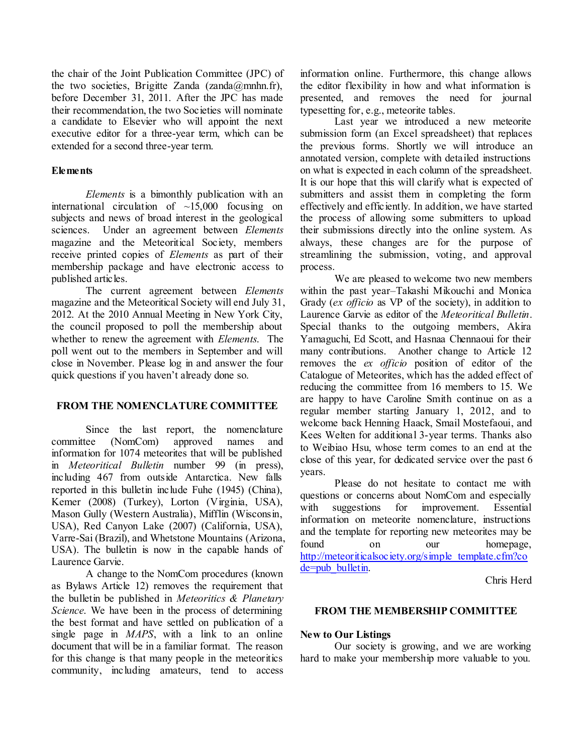the chair of the Joint Publication Committee (JPC) of the two societies, Brigitte Zanda (zanda $(\partial \Omega)$ mnhn.fr), before December 31, 2011. After the JPC has made their recommendation, the two Societies will nominate a candidate to Elsevier who will appoint the next executive editor for a three-year term, which can be extended for a second three-year term.

## **Elements**

*Elements* is a bimonthly publication with an international circulation of  $\sim$ 15,000 focusing on subjects and news of broad interest in the geological sciences. Under an agreement between *Elements* magazine and the Meteoritical Society, members receive printed copies of *Elements* as part of their membership package and have electronic access to published articles.

The current agreement between *Elements* magazine and the Meteoritical Society will end July 31, 2012. At the 2010 Annual Meeting in New York City, the council proposed to poll the membership about whether to renew the agreement with *Elements*. The poll went out to the members in September and will close in November. Please log in and answer the four quick questions if you haven't already done so.

## **FROM THE NOMENCLATURE COMMITTEE**

Since the last report, the nomenclature committee (NomCom) approved names and information for 1074 meteorites that will be published in *Meteoritical Bulletin* number 99 (in press), including 467 from outside Antarctica. New falls reported in this bulletin include Fuhe (1945) (China), Kemer (2008) (Turkey), Lorton (Virginia, USA), Mason Gully (Western Australia), Mifflin (Wisconsin, USA), Red Canyon Lake (2007) (California, USA), Varre-Sai (Brazil), and Whetstone Mountains (Arizona, USA). The bulletin is now in the capable hands of Laurence Garvie.

A change to the NomCom procedures (known as Bylaws Article 12) removes the requirement that the bulletin be published in *Meteoritics & Planetary Science*. We have been in the process of determining the best format and have settled on publication of a single page in *MAPS*, with a link to an online document that will be in a familiar format. The reason for this change is that many people in the meteoritics community, including amateurs, tend to access

information online. Furthermore, this change allows the editor flexibility in how and what information is presented, and removes the need for journal typesetting for, e.g., meteorite tables.

Last year we introduced a new meteorite submission form (an Excel spreadsheet) that replaces the previous forms. Shortly we will introduce an annotated version, complete with detailed instructions on what is expected in each column of the spreadsheet. It is our hope that this will clarify what is expected of submitters and assist them in completing the form effectively and efficiently. In addition, we have started the process of allowing some submitters to upload their submissions directly into the online system. As always, these changes are for the purpose of streamlining the submission, voting, and approval process.

We are pleased to welcome two new members within the past year–Takashi Mikouchi and Monica Grady (*ex officio* as VP of the society), in addition to Laurence Garvie as editor of the *Meteoritical Bulletin*. Special thanks to the outgoing members, Akira Yamaguchi, Ed Scott, and Hasnaa Chennaoui for their many contributions. Another change to Article 12 removes the *ex officio* position of editor of the Catalogue of Meteorites, which has the added effect of reducing the committee from 16 members to 15. We are happy to have Caroline Smith continue on as a regular member starting January 1, 2012, and to welcome back Henning Haack, Smail Mostefaoui, and Kees Welten for additional 3-year terms. Thanks also to Weibiao Hsu, whose term comes to an end at the close of this year, for dedicated service over the past 6 years.

Please do not hesitate to contact me with questions or concerns about NomCom and especially with suggestions for improvement. Essential information on meteorite nomenclature, instructions and the template for reporting new meteorites may be found on our homepage, [http://meteoriticalsociety.org/simple\\_template.cfm?co](http://meteoriticalsociety.org/simple_template.cfm?code=pub_bulletin) [de=pub\\_bulletin.](http://meteoriticalsociety.org/simple_template.cfm?code=pub_bulletin)

Chris Herd

#### **FROM THE MEMBERSHIP COMMITTEE**

## **New to Our Listings**

Our society is growing, and we are working hard to make your membership more valuable to you.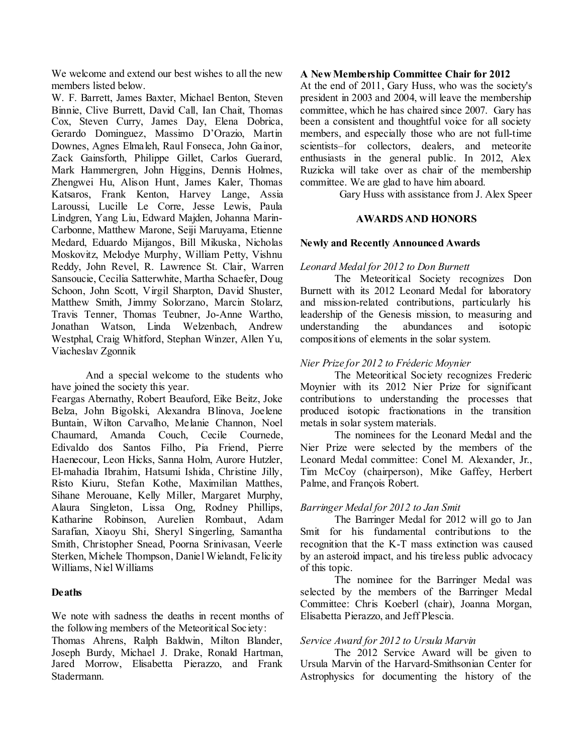We welcome and extend our best wishes to all the new members listed below.

W. F. Barrett, James Baxter, Michael Benton, Steven Binnie, Clive Burrett, David Call, Ian Chait, Thomas Cox, Steven Curry, James Day, Elena Dobrica, Gerardo Dominguez, Massimo D'Orazio, Martin Downes, Agnes Elmaleh, Raul Fonseca, John Gainor, Zack Gainsforth, Philippe Gillet, Carlos Guerard, Mark Hammergren, John Higgins, Dennis Holmes, Zhengwei Hu, Alison Hunt, James Kaler, Thomas Katsaros, Frank Kenton, Harvey Lange, Assia Laroussi, Lucille Le Corre, Jesse Lewis, Paula Lindgren, Yang Liu, Edward Majden, Johanna Marin-Carbonne, Matthew Marone, Seiji Maruyama, Etienne Medard, Eduardo Mijangos, Bill Mikuska, Nicholas Moskovitz, Melodye Murphy, William Petty, Vishnu Reddy, John Revel, R. Lawrence St. Clair, Warren Sansoucie, Cecilia Satterwhite, Martha Schaefer, Doug Schoon, John Scott, Virgil Sharpton, David Shuster, Matthew Smith, Jimmy Solorzano, Marcin Stolarz, Travis Tenner, Thomas Teubner, Jo-Anne Wartho, Jonathan Watson, Linda Welzenbach, Andrew Westphal, Craig Whitford, Stephan Winzer, Allen Yu, Viacheslav Zgonnik

And a special welcome to the students who have joined the society this year.

Feargas Abernathy, Robert Beauford, Eike Beitz, Joke Belza, John Bigolski, Alexandra Blinova, Joelene Buntain, Wilton Carvalho, Melanie Channon, Noel Chaumard, Amanda Couch, Cecile Cournede, Edivaldo dos Santos Filho, Pia Friend, Pierre Haenecour, Leon Hicks, Sanna Holm, Aurore Hutzler, El-mahadia Ibrahim, Hatsumi Ishida, Christine Jilly, Risto Kiuru, Stefan Kothe, Maximilian Matthes, Sihane Merouane, Kelly Miller, Margaret Murphy, Alaura Singleton, Lissa Ong, Rodney Phillips, Katharine Robinson, Aurelien Rombaut, Adam Sarafian, Xiaoyu Shi, Sheryl Singerling, Samantha Smith, Christopher Snead, Poorna Srinivasan, Veerle Sterken, Michele Thompson, Daniel Wielandt, Felicity Williams, Niel Williams

## **Deaths**

We note with sadness the deaths in recent months of the following members of the Meteoritical Society:

Thomas Ahrens, Ralph Baldwin, Milton Blander, Joseph Burdy, Michael J. Drake, Ronald Hartman, Jared Morrow, Elisabetta Pierazzo, and Frank Stadermann.

#### **A New Membership Committee Chair for 2012**

At the end of 2011, Gary Huss, who was the society's president in 2003 and 2004, will leave the membership committee, which he has chaired since 2007. Gary has been a consistent and thoughtful voice for all society members, and especially those who are not full-time scientists–for collectors, dealers, and meteorite enthusiasts in the general public. In 2012, Alex Ruzicka will take over as chair of the membership committee. We are glad to have him aboard.

Gary Huss with assistance from J. Alex Speer

### **AWARDS AND HONORS**

### **Newly and Recently Announced Awards**

### *Leonard Medal for 2012 to Don Burnett*

The Meteoritical Society recognizes Don Burnett with its 2012 Leonard Medal for laboratory and mission-related contributions, particularly his leadership of the Genesis mission, to measuring and understanding the abundances and isotopic compositions of elements in the solar system.

## *Nier Prize for 2012 to Fréderic Moynier*

The Meteoritical Society recognizes Frederic Moynier with its 2012 Nier Prize for significant contributions to understanding the processes that produced isotopic fractionations in the transition metals in solar system materials.

The nominees for the Leonard Medal and the Nier Prize were selected by the members of the Leonard Medal committee: Conel M. Alexander, Jr., Tim McCoy (chairperson), Mike Gaffey, Herbert Palme, and François Robert.

## *Barringer Medal for 2012 to Jan Smit*

The Barringer Medal for 2012 will go to Jan Smit for his fundamental contributions to the recognition that the K-T mass extinction was caused by an asteroid impact, and his tireless public advocacy of this topic.

The nominee for the Barringer Medal was selected by the members of the Barringer Medal Committee: Chris Koeberl (chair), Joanna Morgan, Elisabetta Pierazzo, and Jeff Plescia.

#### *Service Award for 2012 to Ursula Marvin*

The 2012 Service Award will be given to Ursula Marvin of the Harvard-Smithsonian Center for Astrophysics for documenting the history of the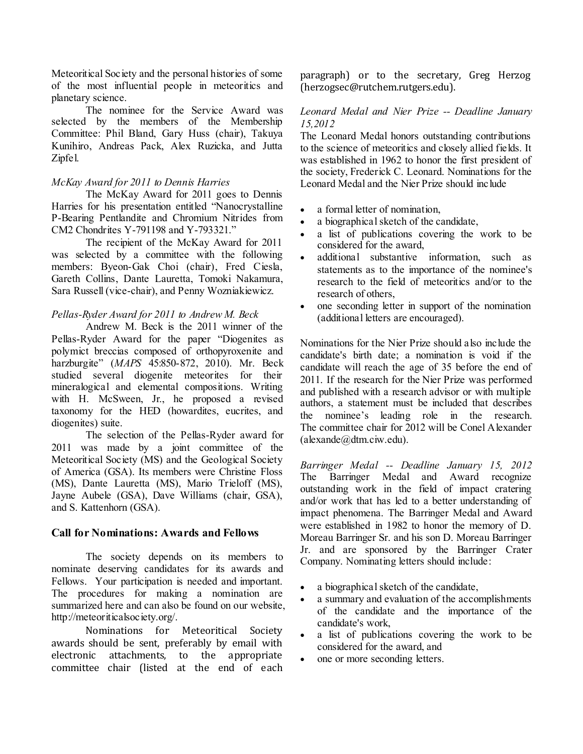Meteoritical Society and the personal histories of some of the most influential people in meteoritics and planetary science.

The nominee for the Service Award was selected by the members of the Membership Committee: Phil Bland, Gary Huss (chair), Takuya Kunihiro, Andreas Pack, Alex Ruzicka, and Jutta Zipfel.

# *McKay Award for 2011 to Dennis Harries*

The McKay Award for 2011 goes to Dennis Harries for his presentation entitled "Nanocrystalline P-Bearing Pentlandite and Chromium Nitrides from CM2 Chondrites Y-791198 and Y-793321."

The recipient of the McKay Award for 2011 was selected by a committee with the following members: Byeon-Gak Choi (chair), Fred Ciesla, Gareth Collins, Dante Lauretta, Tomoki Nakamura, Sara Russell (vice-chair), and Penny Wozniakiewicz.

# *Pellas-Ryder Award for 2011 to Andrew M. Beck*

Andrew M. Beck is the 2011 winner of the Pellas-Ryder Award for the paper "Diogenites as polymict breccias composed of orthopyroxenite and harzburgite" (*MAPS* 45:850-872, 2010). Mr. Beck studied several diogenite meteorites for their mineralogical and elemental compositions. Writing with H. McSween, Jr., he proposed a revised taxonomy for the HED (howardites, eucrites, and diogenites) suite.

The selection of the Pellas-Ryder award for 2011 was made by a joint committee of the Meteoritical Society (MS) and the Geological Society of America (GSA). Its members were Christine Floss (MS), Dante Lauretta (MS), Mario Trieloff (MS), Jayne Aubele (GSA), Dave Williams (chair, GSA), and S. Kattenhorn (GSA).

## **Call for Nominations: Awards and Fellows**

The society depends on its members to nominate deserving candidates for its awards and Fellows. Your participation is needed and important. The procedures for making a nomination are summarized here and can also be found on our website, http://meteoriticalsociety.org/.

Nominations for Meteoritical Society awards should be sent, preferably by email with electronic attachments, to the appropriate committee chair (listed at the end of each

paragraph) or to the secretary, Greg Herzog (herzogsec@rutchem.rutgers.edu).

### *Leonard Medal and Nier Prize -- Deadline January 15,2012*

The Leonard Medal honors outstanding contributions to the science of meteoritics and closely allied fields. It was established in 1962 to honor the first president of the society, Frederick C. Leonard. Nominations for the Leonard Medal and the Nier Prize should include

- a formal letter of nomination.
- a biographical sketch of the candidate,
- a list of publications covering the work to be considered for the award,
- additional substantive information, such as statements as to the importance of the nominee's research to the field of meteoritics and/or to the research of others,
- one seconding letter in support of the nomination (additional letters are encouraged).

Nominations for the Nier Prize should also include the candidate's birth date; a nomination is void if the candidate will reach the age of 35 before the end of 2011. If the research for the Nier Prize was performed and published with a research advisor or with multiple authors, a statement must be included that describes the nominee's leading role in the research. The committee chair for 2012 will be Conel Alexander (alexande@dtm.ciw.edu).

*Barringer Medal -- Deadline January 15, 2012* The Barringer Medal and Award recognize outstanding work in the field of impact cratering and/or work that has led to a better understanding of impact phenomena. The Barringer Medal and Award were established in 1982 to honor the memory of D. Moreau Barringer Sr. and his son D. Moreau Barringer Jr. and are sponsored by the Barringer Crater Company. Nominating letters should include:

- a biographical sketch of the candidate,
- a summary and evaluation of the accomplishments of the candidate and the importance of the candidate's work,
- a list of publications covering the work to be considered for the award, and
- one or more seconding letters.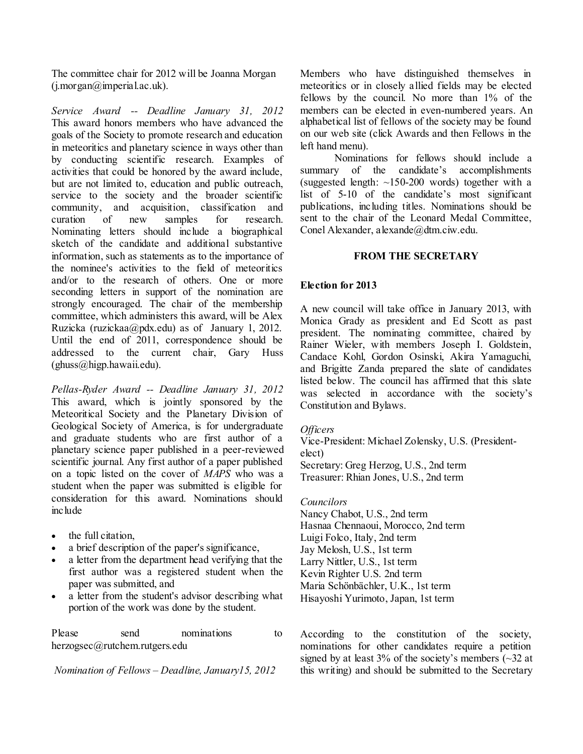The committee chair for 2012 will be Joanna Morgan  $(i.$ morgan $@$  imperial.ac.uk).

*Service Award -- Deadline January 31, 2012* This award honors members who have advanced the goals of the Society to promote research and education in meteoritics and planetary science in ways other than by conducting scientific research. Examples of activities that could be honored by the award include, but are not limited to, education and public outreach, service to the society and the broader scientific community, and acquisition, classification and curation of new samples for research. Nominating letters should include a biographical sketch of the candidate and additional substantive information, such as statements as to the importance of the nominee's activities to the field of meteoritics and/or to the research of others. One or more seconding letters in support of the nomination are strongly encouraged. The chair of the membership committee, which administers this award, will be Alex Ruzicka (ruzickaa@pdx.edu) as of January 1, 2012. Until the end of 2011, correspondence should be addressed to the current chair, Gary Huss  $(\text{ghuss@high.hawai.edu}).$ 

*Pellas-Ryder Award -- Deadline January 31, 2012* This award, which is jointly sponsored by the Meteoritical Society and the Planetary Division of Geological Society of America, is for undergraduate and graduate students who are first author of a planetary science paper published in a peer-reviewed scientific journal. Any first author of a paper published on a topic listed on the cover of *MAPS* who was a student when the paper was submitted is eligible for consideration for this award. Nominations should inc hide

- the full citation,
- a brief description of the paper's significance,
- a letter from the department head verifying that the first author was a registered student when the paper was submitted, and
- a letter from the student's advisor describing what portion of the work was done by the student.

Please send nominations to herzogsec@rutchem.rutgers.edu

*Nomination of Fellows* – *Deadline, January15, 2012*

Members who have distinguished themselves in meteoritics or in closely allied fields may be elected fellows by the council. No more than 1% of the members can be elected in even-numbered years. An alphabetical list of fellows of the society may be found on our web site (click Awards and then Fellows in the left hand menu).

Nominations for fellows should include a summary of the candidate's accomplishments (suggested length:  $\sim$ 150-200 words) together with a list of 5-10 of the candidate's most significant publications, including titles. Nominations should be sent to the chair of the Leonard Medal Committee, Conel Alexander, alexande@dtm.ciw.edu.

## **FROM THE SECRETARY**

# **Election for 2013**

A new council will take office in January 2013, with Monica Grady as president and Ed Scott as past president. The nominating committee, chaired by Rainer Wieler, with members Joseph I. Goldstein, Candace Kohl, Gordon Osinski, Akira Yamaguchi, and Brigitte Zanda prepared the slate of candidates listed below. The council has affirmed that this slate was selected in accordance with the society's Constitution and Bylaws.

## *Officers*

Vice-President: Michael Zolensky, U.S. (Presidentelect) Secretary: Greg Herzog, U.S., 2nd term Treasurer: Rhian Jones, U.S., 2nd term

#### *Councilors*

Nancy Chabot, U.S., 2nd term Hasnaa Chennaoui, Morocco, 2nd term Luigi Folco, Italy, 2nd term Jay Melosh, U.S., 1st term Larry Nittler, U.S., 1st term Kevin Righter U.S. 2nd term Maria Schönbächler, U.K., 1st term Hisayoshi Yurimoto, Japan, 1st term

According to the constitution of the society, nominations for other candidates require a petition signed by at least  $3\%$  of the society's members ( $\sim$ 32 at this writing) and should be submitted to the Secretary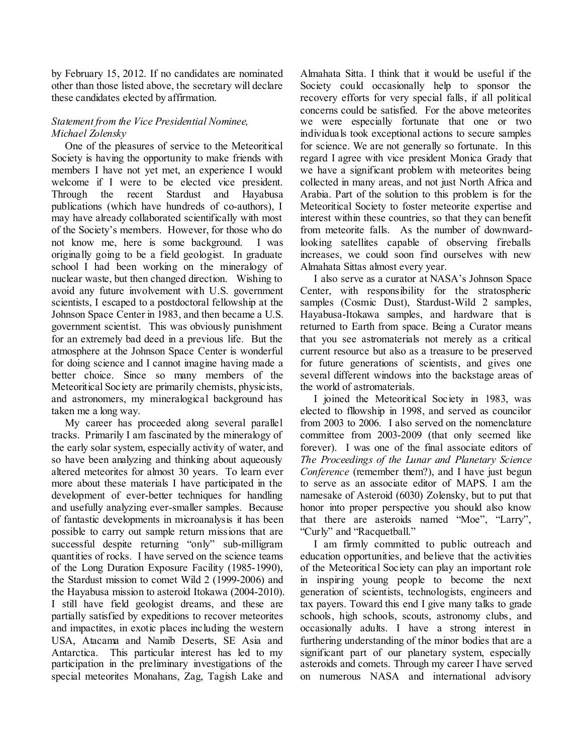by February 15, 2012. If no candidates are nominated other than those listed above, the secretary will declare these candidates elected by affirmation.

# *Statement from the Vice Presidential Nominee, Michael Zolensky*

One of the pleasures of service to the Meteoritical Society is having the opportunity to make friends with members I have not yet met, an experience I would welcome if I were to be elected vice president. Through the recent Stardust and Hayabusa publications (which have hundreds of co-authors), I may have already collaborated scientifically with most of the Society's members. However, for those who do not know me, here is some background. I was originally going to be a field geologist. In graduate school I had been working on the mineralogy of nuclear waste, but then changed direction. Wishing to avoid any future involvement with U.S. government scientists, I escaped to a postdoctoral fellowship at the Johnson Space Center in 1983, and then became a U.S. government scientist. This was obviously punishment for an extremely bad deed in a previous life. But the atmosphere at the Johnson Space Center is wonderful for doing science and I cannot imagine having made a better choice. Since so many members of the Meteoritical Society are primarily chemists, physicists, and astronomers, my mineralogical background has taken me a long way.

My career has proceeded along several parallel tracks. Primarily I am fascinated by the mineralogy of the early solar system, especially activity of water, and so have been analyzing and thinking about aqueously altered meteorites for almost 30 years. To learn ever more about these materials I have participated in the development of ever-better techniques for handling and usefully analyzing ever-smaller samples. Because of fantastic developments in microanalysis it has been possible to carry out sample return missions that are successful despite returning "only" sub-milligram quantities of rocks. I have served on the science teams of the Long Duration Exposure Facility (1985-1990), the Stardust mission to comet Wild 2 (1999-2006) and the Hayabusa mission to asteroid Itokawa (2004-2010). I still have field geologist dreams, and these are partially satisfied by expeditions to recover meteorites and impactites, in exotic places including the western USA, Atacama and Namib Deserts, SE Asia and Antarctica. This particular interest has led to my participation in the preliminary investigations of the special meteorites Monahans, Zag, Tagish Lake and

Almahata Sitta. I think that it would be useful if the Society could occasionally help to sponsor the recovery efforts for very special falls, if all political concerns could be satisfied. For the above meteorites we were especially fortunate that one or two individuals took exceptional actions to secure samples for science. We are not generally so fortunate. In this regard I agree with vice president Monica Grady that we have a significant problem with meteorites being collected in many areas, and not just North Africa and Arabia. Part of the solution to this problem is for the Meteoritical Society to foster meteorite expertise and interest within these countries, so that they can benefit from meteorite falls. As the number of downwardlooking satellites capable of observing fireballs increases, we could soon find ourselves with new Almahata Sittas almost every year.

I also serve as a curator at NASA's Johnson Space Center, with responsibility for the stratospheric samples (Cosmic Dust), Stardust-Wild 2 samples, Hayabusa-Itokawa samples, and hardware that is returned to Earth from space. Being a Curator means that you see astromaterials not merely as a critical current resource but also as a treasure to be preserved for future generations of scientists, and gives one several different windows into the backstage areas of the world of astromaterials.

I joined the Meteoritical Society in 1983, was elected to fllowship in 1998, and served as councilor from 2003 to 2006. I also served on the nomenclature committee from 2003-2009 (that only seemed like forever). I was one of the final associate editors of *The Proceedings of the Lunar and Planetary Science Conference* (remember them?), and I have just begun to serve as an associate editor of MAPS. I am the namesake of Asteroid (6030) Zolensky, but to put that honor into proper perspective you should also know that there are asteroids named "Moe", "Larry", "Curly" and "Racquetball."

I am firmly committed to public outreach and education opportunities, and believe that the activities of the Meteoritical Society can play an important role in inspiring young people to become the next generation of scientists, technologists, engineers and tax payers. Toward this end I give many talks to grade schools, high schools, scouts, astronomy clubs, and occasionally adults. I have a strong interest in furthering understanding of the minor bodies that are a significant part of our planetary system, especially asteroids and comets. Through my career I have served on numerous NASA and international advisory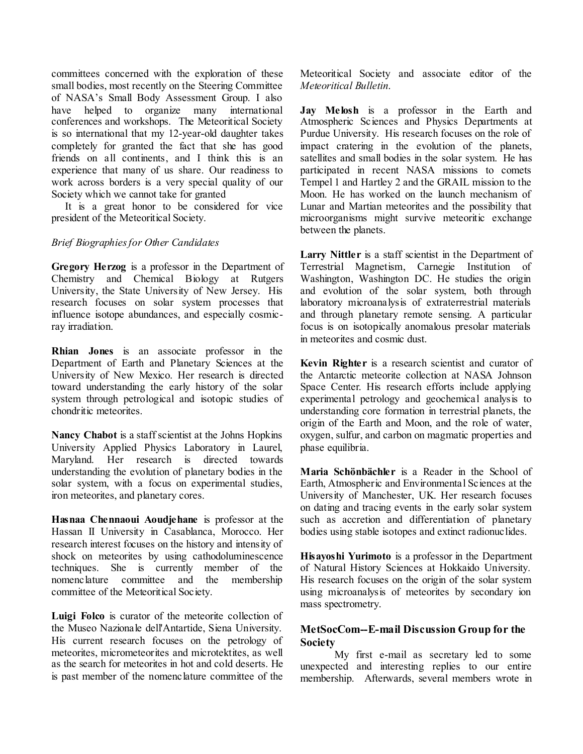committees concerned with the exploration of these small bodies, most recently on the Steering Committee of NASA's Small Body Assessment Group. I also have helped to organize many international conferences and workshops. The Meteoritical Society is so international that my 12-year-old daughter takes completely for granted the fact that she has good friends on all continents, and I think this is an experience that many of us share. Our readiness to work across borders is a very special quality of our Society which we cannot take for granted

It is a great honor to be considered for vice president of the Meteoritical Society.

## *Brief Biographies for Other Candidates*

**Gregory Herzog** is a professor in the Department of Chemistry and Chemical Biology at Rutgers University, the State University of New Jersey. His research focuses on solar system processes that influence isotope abundances, and especially cosmicray irradiation.

**Rhian Jones** is an associate professor in the Department of Earth and Planetary Sciences at the University of New Mexico. Her research is directed toward understanding the early history of the solar system through petrological and isotopic studies of chondritic meteorites.

**Nancy Chabot** is a staff scientist at the Johns Hopkins University Applied Physics Laboratory in Laurel, Maryland. Her research is directed towards understanding the evolution of planetary bodies in the solar system, with a focus on experimental studies, iron meteorites, and planetary cores.

**Hasnaa Chennaoui Aoudjehane** is professor at the Hassan II University in Casablanca, Morocco. Her research interest focuses on the history and intensity of shock on meteorites by using cathodoluminescence techniques. She is currently member of the nomenclature committee and the membership committee of the Meteoritical Society.

**Luigi Folco** is curator of the meteorite collection of the Museo Nazionale dell'Antartide, Siena University. His current research focuses on the petrology of meteorites, micrometeorites and microtektites, as well as the search for meteorites in hot and cold deserts. He is past member of the nomenclature committee of the Meteoritical Society and associate editor of the *Meteoritical Bulletin*.

**Jay Melosh** is a professor in the Earth and Atmospheric Sciences and Physics Departments at Purdue University. His research focuses on the role of impact cratering in the evolution of the planets, satellites and small bodies in the solar system. He has participated in recent NASA missions to comets Tempel 1 and Hartley 2 and the GRAIL mission to the Moon. He has worked on the launch mechanism of Lunar and Martian meteorites and the possibility that microorganisms might survive meteoritic exchange between the planets.

Larry Nittler is a staff scientist in the Department of Terrestrial Magnetism, Carnegie Institution of Washington, Washington DC. He studies the origin and evolution of the solar system, both through laboratory microanalysis of extraterrestrial materials and through planetary remote sensing. A particular focus is on isotopically anomalous presolar materials in meteorites and cosmic dust.

**Kevin Righter** is a research scientist and curator of the Antarctic meteorite collection at NASA Johnson Space Center. His research efforts include applying experimental petrology and geochemical analysis to understanding core formation in terrestrial planets, the origin of the Earth and Moon, and the role of water, oxygen, sulfur, and carbon on magmatic properties and phase equilibria.

**Maria Schönbächler** is a Reader in the School of Earth, Atmospheric and Environmental Sciences at the University of Manchester, UK. Her research focuses on dating and tracing events in the early solar system such as accretion and differentiation of planetary bodies using stable isotopes and extinct radionuclides.

**Hisayoshi Yurimoto** is a professor in the Department of Natural History Sciences at Hokkaido University. His research focuses on the origin of the solar system using microanalysis of meteorites by secondary ion mass spectrometry.

# **MetSocCom--E-mail Discussion Group for the Society**

My first e-mail as secretary led to some unexpected and interesting replies to our entire membership. Afterwards, several members wrote in